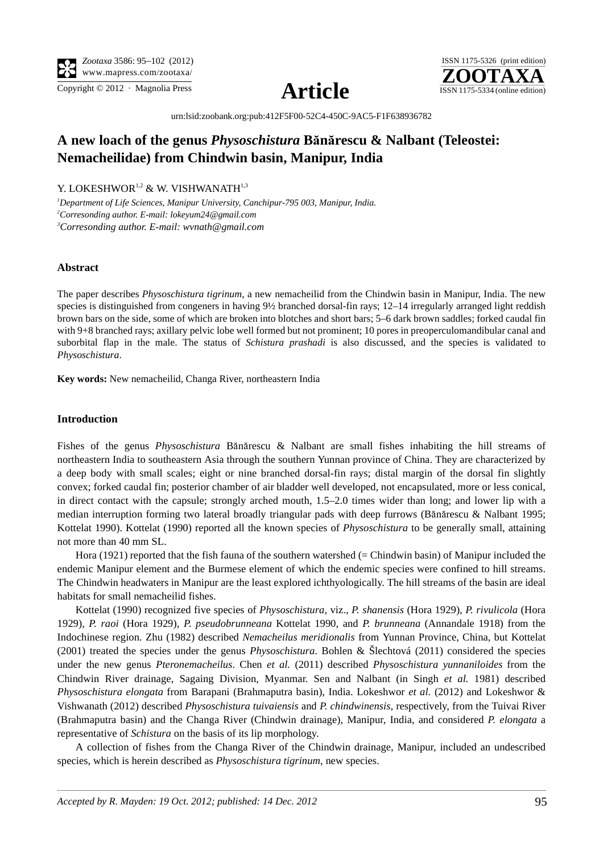

Copyright © 2012 · Magnolia Press  $\Delta \mathbf{P}$   $\mathbf{I}$   $\mathbf{A}$ 





[urn:lsid:zoobank.org:pub:412F5F00-52C4-450C-9AC5-F1F638936782](http://zoobank.org/urn:lsid:zoobank.org:pub:412F5F00-52C4-450C-9AC5-F1F638936782)

# **A new loach of the genus** *Physoschistura* **B**ă**n**ă**rescu & Nalbant (Teleostei: Nemacheilidae) from Chindwin basin, Manipur, India**

Y. LOKESHWOR<sup>1,2</sup> & W. VISHWANATH<sup>1,3</sup>

*1 Department of Life Sciences, Manipur University, Canchipur-795 003, Manipur, India. 2 Corresonding author. E-mail: [lokeyum24@gmail.com](mailto:lokeyum2) 3 Corresonding author. E-mail: [wvnath@gmail.com](mailto:vnath@gmail.com)*

### **Abstract**

The paper describes *Physoschistura tigrinum*, a new nemacheilid from the Chindwin basin in Manipur, India. The new species is distinguished from congeners in having 9½ branched dorsal-fin rays; 12–14 irregularly arranged light reddish brown bars on the side, some of which are broken into blotches and short bars; 5–6 dark brown saddles; forked caudal fin with 9+8 branched rays; axillary pelvic lobe well formed but not prominent; 10 pores in preoperculomandibular canal and suborbital flap in the male. The status of *Schistura prashadi* is also discussed, and the species is validated to *Physoschistura*.

**Key words:** New nemacheilid, Changa River, northeastern India

### **Introduction**

Fishes of the genus *Physoschistura* Bănărescu & Nalbant are small fishes inhabiting the hill streams of northeastern India to southeastern Asia through the southern Yunnan province of China. They are characterized by a deep body with small scales; eight or nine branched dorsal-fin rays; distal margin of the dorsal fin slightly convex; forked caudal fin; posterior chamber of air bladder well developed, not encapsulated, more or less conical, in direct contact with the capsule; strongly arched mouth, 1.5–2.0 times wider than long; and lower lip with a median interruption forming two lateral broadly triangular pads with deep furrows (Bănărescu & Nalbant 1995; Kottelat 1990). Kottelat (1990) reported all the known species of *Physoschistura* to be generally small, attaining not more than 40 mm SL.

Hora (1921) reported that the fish fauna of the southern watershed (= Chindwin basin) of Manipur included the endemic Manipur element and the Burmese element of which the endemic species were confined to hill streams. The Chindwin headwaters in Manipur are the least explored ichthyologically. The hill streams of the basin are ideal habitats for small nemacheilid fishes.

Kottelat (1990) recognized five species of *Physoschistura,* viz., *P. shanensis* (Hora 1929), *P. rivulicola* (Hora 1929)*, P. raoi* (Hora 1929)*, P. pseudobrunneana* Kottelat 1990, and *P. brunneana* (Annandale 1918) from the Indochinese region. Zhu (1982) described *Nemacheilus meridionalis* from Yunnan Province, China, but Kottelat (2001) treated the species under the genus *Physoschistura*. Bohlen & Šlechtová (2011) considered the species under the new genus *Pteronemacheilus*. Chen *et al.* (2011) described *Physoschistura yunnaniloides* from the Chindwin River drainage, Sagaing Division, Myanmar. Sen and Nalbant (in Singh *et al.* 1981) described *Physoschistura elongata* from Barapani (Brahmaputra basin), India. Lokeshwor *et al.* (2012) and Lokeshwor & Vishwanath (2012) described *Physoschistura tuivaiensis* and *P. chindwinensis,* respectively, from the Tuivai River (Brahmaputra basin) and the Changa River (Chindwin drainage), Manipur, India, and considered *P. elongata* a representative of *Schistura* on the basis of its lip morphology.

A collection of fishes from the Changa River of the Chindwin drainage, Manipur, included an undescribed species, which is herein described as *Physoschistura tigrinum*, new species.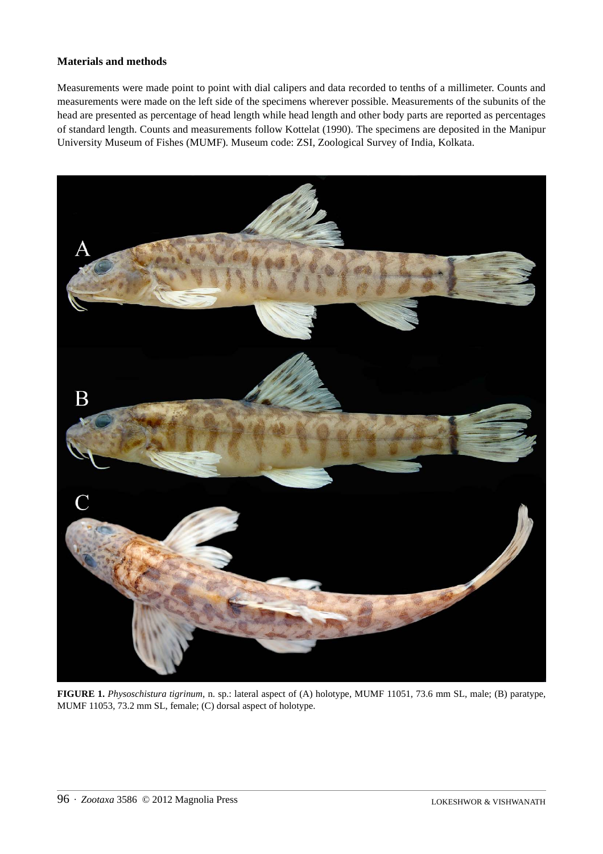## **Materials and methods**

Measurements were made point to point with dial calipers and data recorded to tenths of a millimeter. Counts and measurements were made on the left side of the specimens wherever possible. Measurements of the subunits of the head are presented as percentage of head length while head length and other body parts are reported as percentages of standard length. Counts and measurements follow Kottelat (1990). The specimens are deposited in the Manipur University Museum of Fishes (MUMF). Museum code: ZSI, Zoological Survey of India, Kolkata.



**FIGURE 1.** *Physoschistura tigrinum*, n. sp.: lateral aspect of (A) holotype, MUMF 11051, 73.6 mm SL, male; (B) paratype, MUMF 11053, 73.2 mm SL, female; (C) dorsal aspect of holotype.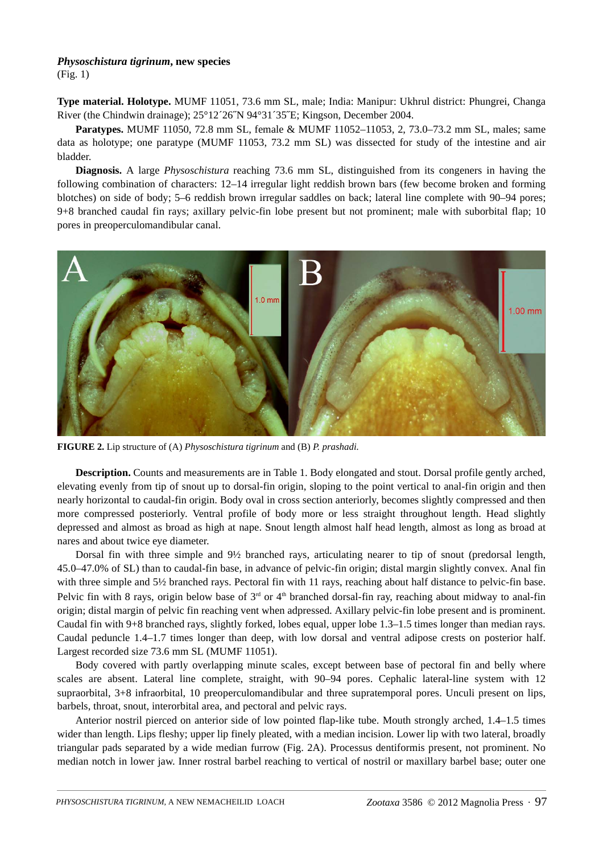# *Physoschistura tigrinum***, new species**

(Fig. 1)

**Type material. Holotype.** MUMF 11051, 73.6 mm SL, male; India: Manipur: Ukhrul district: Phungrei, Changa River (the Chindwin drainage); 25°12´26˝N 94°31´35˝E; Kingson, December 2004.

**Paratypes.** MUMF 11050, 72.8 mm SL, female & MUMF 11052–11053, 2, 73.0–73.2 mm SL, males; same data as holotype; one paratype (MUMF 11053, 73.2 mm SL) was dissected for study of the intestine and air bladder.

**Diagnosis.** A large *Physoschistura* reaching 73.6 mm SL, distinguished from its congeners in having the following combination of characters: 12–14 irregular light reddish brown bars (few become broken and forming blotches) on side of body; 5–6 reddish brown irregular saddles on back; lateral line complete with 90–94 pores; 9+8 branched caudal fin rays; axillary pelvic-fin lobe present but not prominent; male with suborbital flap; 10 pores in preoperculomandibular canal.



**FIGURE 2.** Lip structure of (A) *Physoschistura tigrinum* and (B) *P. prashadi.*

**Description.** Counts and measurements are in Table 1. Body elongated and stout. Dorsal profile gently arched, elevating evenly from tip of snout up to dorsal-fin origin, sloping to the point vertical to anal-fin origin and then nearly horizontal to caudal-fin origin. Body oval in cross section anteriorly, becomes slightly compressed and then more compressed posteriorly. Ventral profile of body more or less straight throughout length. Head slightly depressed and almost as broad as high at nape. Snout length almost half head length, almost as long as broad at nares and about twice eye diameter.

Dorsal fin with three simple and 9½ branched rays, articulating nearer to tip of snout (predorsal length, 45.0–47.0% of SL) than to caudal-fin base, in advance of pelvic-fin origin; distal margin slightly convex. Anal fin with three simple and 5<sup>1</sup>/<sub>2</sub> branched rays. Pectoral fin with 11 rays, reaching about half distance to pelvic-fin base. Pelvic fin with 8 rays, origin below base of  $3<sup>rd</sup>$  or  $4<sup>th</sup>$  branched dorsal-fin ray, reaching about midway to anal-fin origin; distal margin of pelvic fin reaching vent when adpressed. Axillary pelvic-fin lobe present and is prominent. Caudal fin with 9+8 branched rays, slightly forked, lobes equal, upper lobe 1.3–1.5 times longer than median rays. Caudal peduncle 1.4–1.7 times longer than deep, with low dorsal and ventral adipose crests on posterior half. Largest recorded size 73.6 mm SL (MUMF 11051).

Body covered with partly overlapping minute scales, except between base of pectoral fin and belly where scales are absent. Lateral line complete, straight, with 90–94 pores. Cephalic lateral-line system with 12 supraorbital, 3+8 infraorbital, 10 preoperculomandibular and three supratemporal pores. Unculi present on lips, barbels, throat, snout, interorbital area, and pectoral and pelvic rays.

Anterior nostril pierced on anterior side of low pointed flap-like tube. Mouth strongly arched, 1.4–1.5 times wider than length. Lips fleshy; upper lip finely pleated, with a median incision. Lower lip with two lateral, broadly triangular pads separated by a wide median furrow (Fig. 2A). Processus dentiformis present, not prominent. No median notch in lower jaw. Inner rostral barbel reaching to vertical of nostril or maxillary barbel base; outer one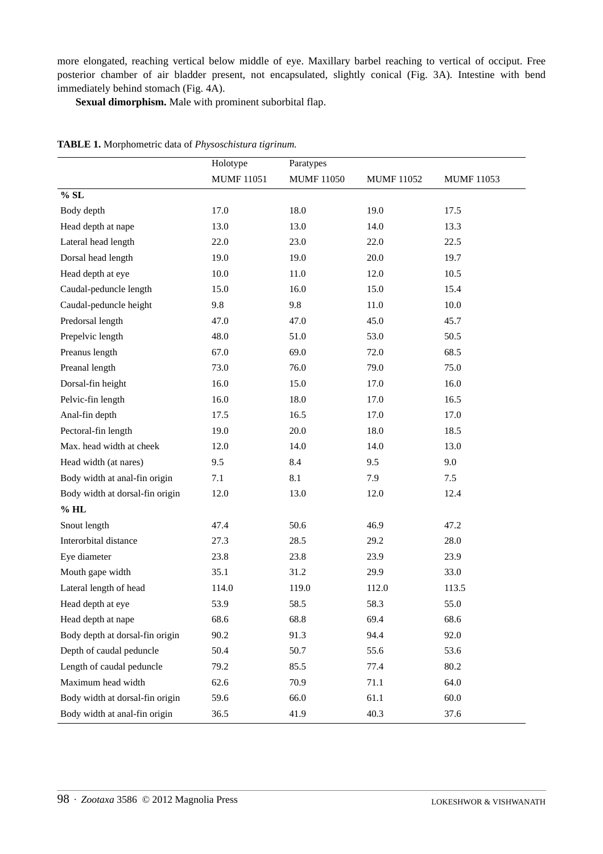more elongated, reaching vertical below middle of eye. Maxillary barbel reaching to vertical of occiput. Free posterior chamber of air bladder present, not encapsulated, slightly conical (Fig. 3A). Intestine with bend immediately behind stomach (Fig. 4A).

**Sexual dimorphism.** Male with prominent suborbital flap.

|                                 | Holotype          | Paratypes         |                   |                   |
|---------------------------------|-------------------|-------------------|-------------------|-------------------|
|                                 | <b>MUMF 11051</b> | <b>MUMF 11050</b> | <b>MUMF 11052</b> | <b>MUMF 11053</b> |
| % SL                            |                   |                   |                   |                   |
| Body depth                      | 17.0              | 18.0              | 19.0              | 17.5              |
| Head depth at nape              | 13.0              | 13.0              | 14.0              | 13.3              |
| Lateral head length             | 22.0              | 23.0              | 22.0              | 22.5              |
| Dorsal head length              | 19.0              | 19.0              | 20.0              | 19.7              |
| Head depth at eye               | 10.0              | 11.0              | 12.0              | 10.5              |
| Caudal-peduncle length          | 15.0              | 16.0              | 15.0              | 15.4              |
| Caudal-peduncle height          | 9.8               | 9.8               | 11.0              | 10.0              |
| Predorsal length                | 47.0              | 47.0              | 45.0              | 45.7              |
| Prepelvic length                | 48.0              | 51.0              | 53.0              | 50.5              |
| Preanus length                  | 67.0              | 69.0              | 72.0              | 68.5              |
| Preanal length                  | 73.0              | 76.0              | 79.0              | 75.0              |
| Dorsal-fin height               | 16.0              | 15.0              | 17.0              | 16.0              |
| Pelvic-fin length               | 16.0              | 18.0              | 17.0              | 16.5              |
| Anal-fin depth                  | 17.5              | 16.5              | 17.0              | 17.0              |
| Pectoral-fin length             | 19.0              | 20.0              | 18.0              | 18.5              |
| Max. head width at cheek        | 12.0              | 14.0              | 14.0              | 13.0              |
| Head width (at nares)           | 9.5               | 8.4               | 9.5               | 9.0               |
| Body width at anal-fin origin   | 7.1               | 8.1               | 7.9               | 7.5               |
| Body width at dorsal-fin origin | 12.0              | 13.0              | 12.0              | 12.4              |
| $%$ HL                          |                   |                   |                   |                   |
| Snout length                    | 47.4              | 50.6              | 46.9              | 47.2              |
| Interorbital distance           | 27.3              | 28.5              | 29.2              | 28.0              |
| Eye diameter                    | 23.8              | 23.8              | 23.9              | 23.9              |
| Mouth gape width                | 35.1              | 31.2              | 29.9              | 33.0              |
| Lateral length of head          | 114.0             | 119.0             | 112.0             | 113.5             |
| Head depth at eye               | 53.9              | 58.5              | 58.3              | 55.0              |
| Head depth at nape              | 68.6              | 68.8              | 69.4              | 68.6              |
| Body depth at dorsal-fin origin | 90.2              | 91.3              | 94.4              | 92.0              |
| Depth of caudal peduncle        | 50.4              | 50.7              | 55.6              | 53.6              |
| Length of caudal peduncle       | 79.2              | 85.5              | 77.4              | 80.2              |
| Maximum head width              | 62.6              | 70.9              | 71.1              | 64.0              |
| Body width at dorsal-fin origin | 59.6              | 66.0              | 61.1              | 60.0              |
| Body width at anal-fin origin   | 36.5              | 41.9              | 40.3              | 37.6              |

### **TABLE 1.** Morphometric data of *Physoschistura tigrinum.*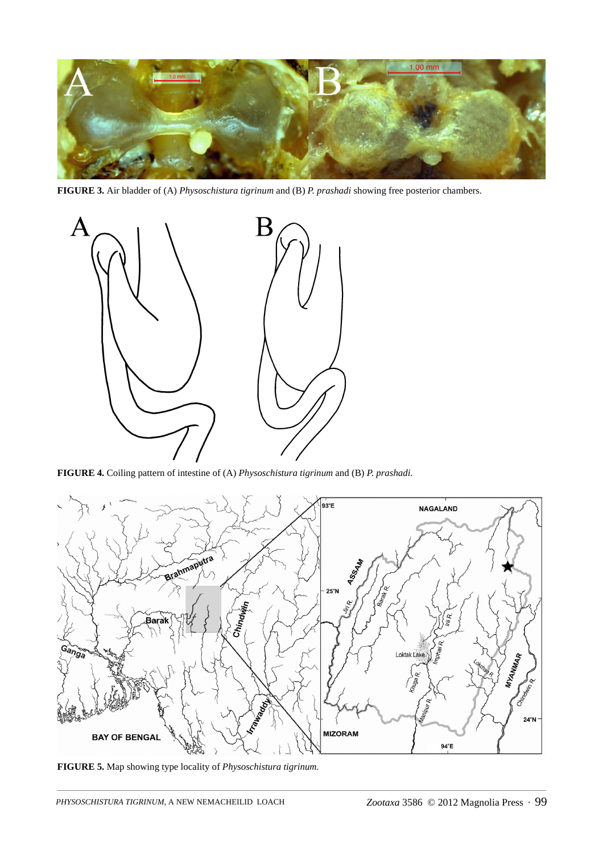

**FIGURE 3.** Air bladder of (A) *Physoschistura tigrinum* and (B) *P. prashadi* showing free posterior chambers.



**FIGURE 4.** Coiling pattern of intestine of (A) *Physoschistura tigrinum* and (B) *P. prashadi.*



**FIGURE 5.** Map showing type locality of *Physoschistura tigrinum.*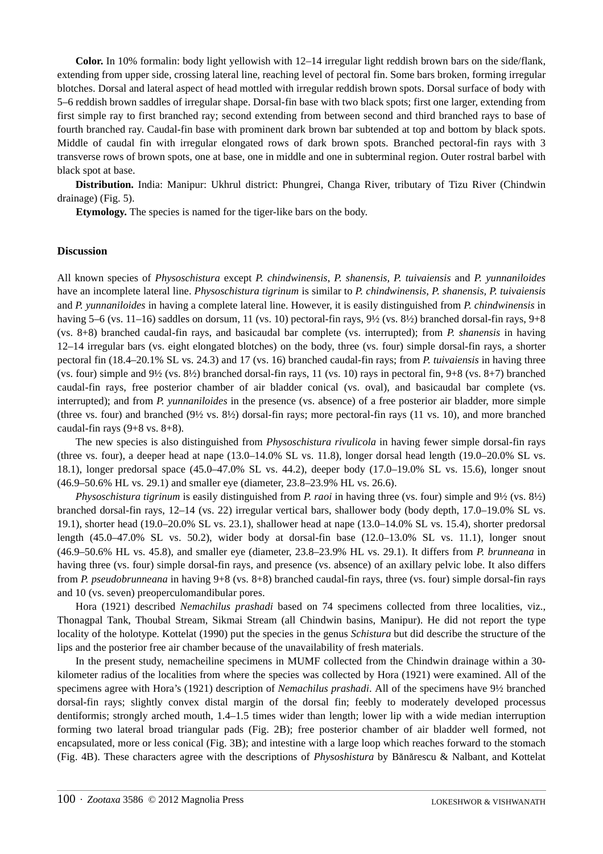**Color.** In 10% formalin: body light yellowish with 12–14 irregular light reddish brown bars on the side/flank, extending from upper side, crossing lateral line, reaching level of pectoral fin. Some bars broken, forming irregular blotches. Dorsal and lateral aspect of head mottled with irregular reddish brown spots. Dorsal surface of body with 5–6 reddish brown saddles of irregular shape. Dorsal-fin base with two black spots; first one larger, extending from first simple ray to first branched ray; second extending from between second and third branched rays to base of fourth branched ray. Caudal-fin base with prominent dark brown bar subtended at top and bottom by black spots. Middle of caudal fin with irregular elongated rows of dark brown spots. Branched pectoral-fin rays with 3 transverse rows of brown spots, one at base, one in middle and one in subterminal region. Outer rostral barbel with black spot at base.

**Distribution.** India: Manipur: Ukhrul district: Phungrei, Changa River, tributary of Tizu River (Chindwin drainage) (Fig. 5).

**Etymology.** The species is named for the tiger-like bars on the body.

### **Discussion**

All known species of *Physoschistura* except *P. chindwinensis*, *P. shanensis, P. tuivaiensis* and *P. yunnaniloides* have an incomplete lateral line. *Physoschistura tigrinum* is similar to *P. chindwinensis*, *P. shanensis, P. tuivaiensis*  and *P. yunnaniloides* in having a complete lateral line. However, it is easily distinguished from *P. chindwinensis* in having 5–6 (vs. 11–16) saddles on dorsum, 11 (vs. 10) pectoral-fin rays,  $9\frac{1}{2}$  (vs.  $8\frac{1}{2}$ ) branched dorsal-fin rays,  $9+8$ (vs. 8+8) branched caudal-fin rays, and basicaudal bar complete (vs. interrupted); from *P. shanensis* in having 12–14 irregular bars (vs. eight elongated blotches) on the body, three (vs. four) simple dorsal-fin rays, a shorter pectoral fin (18.4–20.1% SL vs. 24.3) and 17 (vs. 16) branched caudal-fin rays; from *P. tuivaiensis* in having three (vs. four) simple and 9½ (vs. 8½) branched dorsal-fin rays, 11 (vs. 10) rays in pectoral fin, 9+8 (vs. 8+7) branched caudal-fin rays, free posterior chamber of air bladder conical (vs. oval), and basicaudal bar complete (vs. interrupted); and from *P. yunnaniloides* in the presence (vs. absence) of a free posterior air bladder, more simple (three vs. four) and branched (9½ vs. 8½) dorsal-fin rays; more pectoral-fin rays (11 vs. 10), and more branched caudal-fin rays  $(9+8 \text{ vs. } 8+8)$ .

The new species is also distinguished from *Physoschistura rivulicola* in having fewer simple dorsal-fin rays (three vs. four), a deeper head at nape (13.0–14.0% SL vs. 11.8), longer dorsal head length (19.0–20.0% SL vs. 18.1), longer predorsal space (45.0–47.0% SL vs. 44.2), deeper body (17.0–19.0% SL vs. 15.6), longer snout (46.9–50.6% HL vs. 29.1) and smaller eye (diameter, 23.8–23.9% HL vs. 26.6).

*Physoschistura tigrinum* is easily distinguished from *P. raoi* in having three (vs. four) simple and 9½ (vs. 8½) branched dorsal-fin rays, 12–14 (vs. 22) irregular vertical bars, shallower body (body depth, 17.0–19.0% SL vs. 19.1), shorter head (19.0–20.0% SL vs. 23.1), shallower head at nape (13.0–14.0% SL vs. 15.4), shorter predorsal length (45.0–47.0% SL vs. 50.2), wider body at dorsal-fin base (12.0–13.0% SL vs. 11.1), longer snout (46.9–50.6% HL vs. 45.8), and smaller eye (diameter, 23.8–23.9% HL vs. 29.1). It differs from *P. brunneana* in having three (vs. four) simple dorsal-fin rays, and presence (vs. absence) of an axillary pelvic lobe. It also differs from *P. pseudobrunneana* in having 9+8 (vs. 8+8) branched caudal-fin rays, three (vs. four) simple dorsal-fin rays and 10 (vs. seven) preoperculomandibular pores.

Hora (1921) described *Nemachilus prashadi* based on 74 specimens collected from three localities, viz., Thonagpal Tank, Thoubal Stream, Sikmai Stream (all Chindwin basins, Manipur). He did not report the type locality of the holotype. Kottelat (1990) put the species in the genus *Schistura* but did describe the structure of the lips and the posterior free air chamber because of the unavailability of fresh materials.

In the present study, nemacheiline specimens in MUMF collected from the Chindwin drainage within a 30 kilometer radius of the localities from where the species was collected by Hora (1921) were examined. All of the specimens agree with Hora's (1921) description of *Nemachilus prashadi*. All of the specimens have 9½ branched dorsal-fin rays; slightly convex distal margin of the dorsal fin; feebly to moderately developed processus dentiformis; strongly arched mouth, 1.4–1.5 times wider than length; lower lip with a wide median interruption forming two lateral broad triangular pads (Fig. 2B); free posterior chamber of air bladder well formed, not encapsulated, more or less conical (Fig. 3B); and intestine with a large loop which reaches forward to the stomach (Fig. 4B). These characters agree with the descriptions of *Physoshistura* by Bănărescu & Nalbant, and Kottelat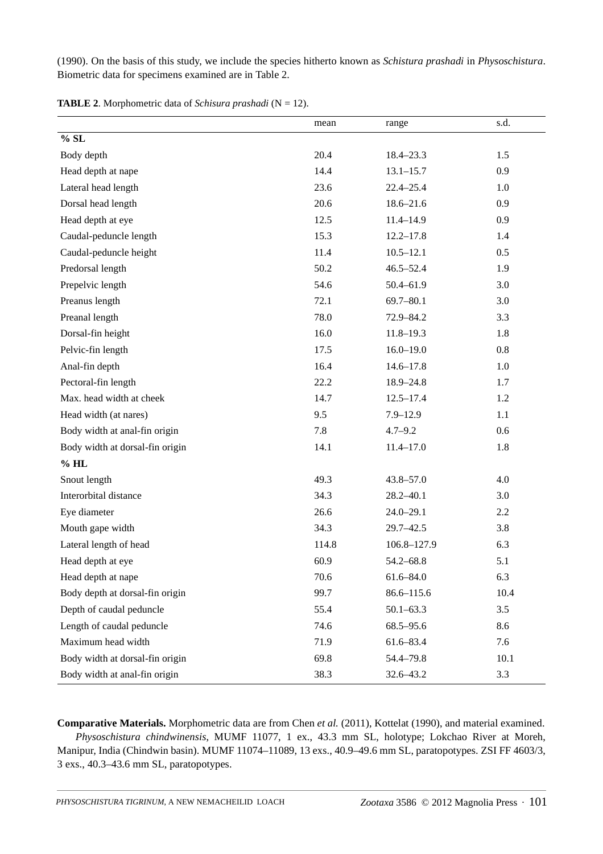(1990). On the basis of this study, we include the species hitherto known as *Schistura prashadi* in *Physoschistura*. Biometric data for specimens examined are in Table 2.

|                                 | mean  | range          | s.d. |
|---------------------------------|-------|----------------|------|
| $\%$ SL                         |       |                |      |
| Body depth                      | 20.4  | $18.4 - 23.3$  | 1.5  |
| Head depth at nape              | 14.4  | $13.1 - 15.7$  | 0.9  |
| Lateral head length             | 23.6  | $22.4 - 25.4$  | 1.0  |
| Dorsal head length              | 20.6  | $18.6 - 21.6$  | 0.9  |
| Head depth at eye               | 12.5  | $11.4 - 14.9$  | 0.9  |
| Caudal-peduncle length          | 15.3  | $12.2 - 17.8$  | 1.4  |
| Caudal-peduncle height          | 11.4  | $10.5 - 12.1$  | 0.5  |
| Predorsal length                | 50.2  | $46.5 - 52.4$  | 1.9  |
| Prepelvic length                | 54.6  | $50.4 - 61.9$  | 3.0  |
| Preanus length                  | 72.1  | $69.7 - 80.1$  | 3.0  |
| Preanal length                  | 78.0  | 72.9-84.2      | 3.3  |
| Dorsal-fin height               | 16.0  | $11.8 - 19.3$  | 1.8  |
| Pelvic-fin length               | 17.5  | $16.0 - 19.0$  | 0.8  |
| Anal-fin depth                  | 16.4  | $14.6 - 17.8$  | 1.0  |
| Pectoral-fin length             | 22.2  | 18.9-24.8      | 1.7  |
| Max. head width at cheek        | 14.7  | $12.5 - 17.4$  | 1.2  |
| Head width (at nares)           | 9.5   | $7.9 - 12.9$   | 1.1  |
| Body width at anal-fin origin   | 7.8   | $4.7 - 9.2$    | 0.6  |
| Body width at dorsal-fin origin | 14.1  | $11.4 - 17.0$  | 1.8  |
| $%$ HL                          |       |                |      |
| Snout length                    | 49.3  | $43.8 - 57.0$  | 4.0  |
| Interorbital distance           | 34.3  | $28.2 - 40.1$  | 3.0  |
| Eye diameter                    | 26.6  | $24.0 - 29.1$  | 2.2  |
| Mouth gape width                | 34.3  | $29.7 - 42.5$  | 3.8  |
| Lateral length of head          | 114.8 | 106.8-127.9    | 6.3  |
| Head depth at eye               | 60.9  | $54.2 - 68.8$  | 5.1  |
| Head depth at nape              | 70.6  | $61.6 - 84.0$  | 6.3  |
| Body depth at dorsal-fin origin | 99.7  | $86.6 - 115.6$ | 10.4 |
| Depth of caudal peduncle        | 55.4  | $50.1 - 63.3$  | 3.5  |
| Length of caudal peduncle       | 74.6  | $68.5 - 95.6$  | 8.6  |
| Maximum head width              | 71.9  | $61.6 - 83.4$  | 7.6  |
| Body width at dorsal-fin origin | 69.8  | 54.4-79.8      | 10.1 |
| Body width at anal-fin origin   | 38.3  | 32.6-43.2      | 3.3  |

**TABLE 2**. Morphometric data of *Schisura prashadi* (N = 12).

**Comparative Materials.** Morphometric data are from Chen *et al.* (2011), Kottelat (1990), and material examined. *Physoschistura chindwinensis*, MUMF 11077, 1 ex., 43.3 mm SL, holotype; Lokchao River at Moreh, Manipur, India (Chindwin basin). MUMF 11074–11089, 13 exs., 40.9–49.6 mm SL, paratopotypes. ZSI FF 4603/3, 3 exs., 40.3–43.6 mm SL, paratopotypes.